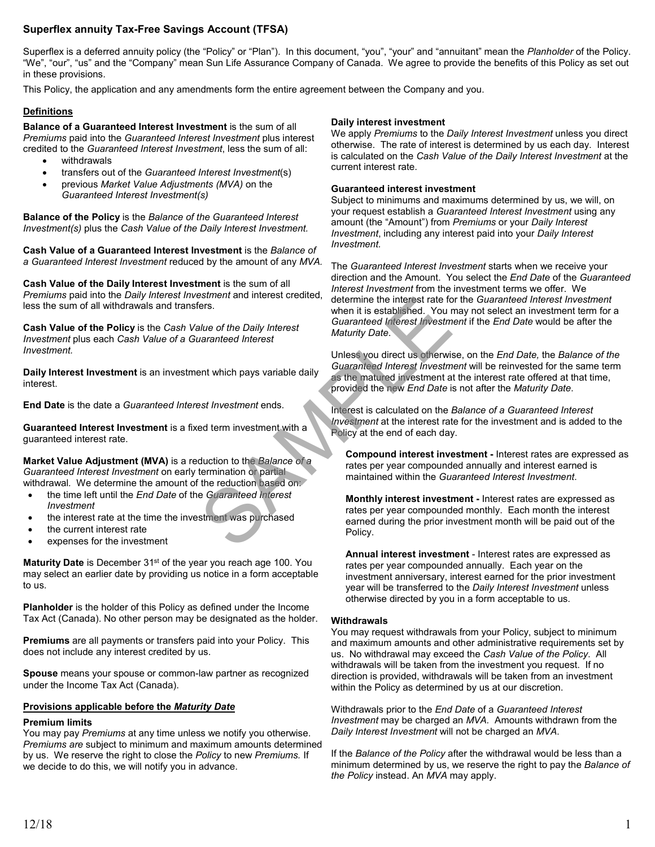# **Superflex annuity Tax-Free Savings Account (TFSA)**

Superflex is a deferred annuity policy (the "Policy" or "Plan"). In this document, "you", "your" and "annuitant" mean the *Planholder* of the Policy. "We", "our", "us" and the "Company" mean Sun Life Assurance Company of Canada. We agree to provide the benefits of this Policy as set out in these provisions.

This Policy, the application and any amendments form the entire agreement between the Company and you.

# **Definitions**

**Balance of a Guaranteed Interest Investment** is the sum of all *Premiums* paid into the *Guaranteed Interest Investment* plus interest credited to the *Guaranteed Interest Investment*, less the sum of all:

- withdrawals
- transfers out of the *Guaranteed Interest Investment*(s)
- previous *Market Value Adjustments (MVA)* on the *Guaranteed Interest Investment(s)*

**Balance of the Policy** is the *Balance of the Guaranteed Interest Investment(s)* plus the *Cash Value of the Daily Interest Investment.*

**Cash Value of a Guaranteed Interest Investment** is the *Balance of a Guaranteed Interest Investment* reduced by the amount of any *MVA.*

**Cash Value of the Daily Interest Investment** is the sum of all *Premiums* paid into the *Daily Interest Investment* and interest credited, less the sum of all withdrawals and transfers.

**Cash Value of the Policy** is the *Cash Value of the Daily Interest Investment* plus each *Cash Value of a Guaranteed Interest Investment.*

**Daily Interest Investment** is an investment which pays variable daily interest.

**End Date** is the date a *Guaranteed Interest Investment* ends.

**Guaranteed Interest Investment** is a fixed term investment with a guaranteed interest rate.

**Market Value Adjustment (MVA)** is a reduction to the *Balance of a Guaranteed Interest Investment* on early termination or partial withdrawal*.* We determine the amount of the reduction based on:

- the time left until the *End Date* of the *Guaranteed Interest Investment*
- the interest rate at the time the investment was purchased
- the current interest rate
- expenses for the investment

**Maturity Date** is December 31<sup>st</sup> of the year you reach age 100. You may select an earlier date by providing us notice in a form acceptable to us.

**Planholder** is the holder of this Policy as defined under the Income Tax Act (Canada). No other person may be designated as the holder.

**Premiums** are all payments or transfers paid into your Policy. This does not include any interest credited by us.

**Spouse** means your spouse or common-law partner as recognized under the Income Tax Act (Canada).

## **Provisions applicable before the** *Maturity Date*

## **Premium limits**

You may pay *Premiums* at any time unless we notify you otherwise. *Premiums are* subject to minimum and maximum amounts determined by us. We reserve the right to close the *Policy* to new *Premiums.* If we decide to do this, we will notify you in advance.

#### **Daily interest investment**

We apply *Premiums* to the *Daily Interest Investment* unless you direct otherwise. The rate of interest is determined by us each day. Interest is calculated on the *Cash Value of the Daily Interest Investment* at the current interest rate.

#### **Guaranteed interest investment**

Subject to minimums and maximums determined by us, we will, on your request establish a *Guaranteed Interest Investment* using any amount (the "Amount") from *Premiums* or your *Daily Interest Investment*, including any interest paid into your *Daily Interest Investment.*

The *Guaranteed Interest Investment* starts when we receive your direction and the Amount. You select the *End Date* of the *Guaranteed Interest Investment* from the investment terms we offer. We determine the interest rate for the *Guaranteed Interest Investment* when it is established. You may not select an investment term for a *Guaranteed Interest Investment* if the *End Date* would be after the *Maturity Date*.

Unless you direct us otherwise, on the *End Date,* the *Balance of the Guaranteed Interest Investment* will be reinvested for the same term as the matured investment at the interest rate offered at that time, provided the new *End Date* is not after the *Maturity Date*. Exament and interest credited, determine the interest rate for<br>
then it is established. You r<br>
Statemannized Interest<br>
later of the Daily Interest<br>
Maturity Date.<br>
Unless you direct us otherwis<br>
ent which pays variable dai

Interest is calculated on the *Balance of a Guaranteed Interest Investment* at the interest rate for the investment and is added to the Policy at the end of each day.

**Compound interest investment -** Interest rates are expressed as rates per year compounded annually and interest earned is maintained within the *Guaranteed Interest Investment*.

**Monthly interest investment -** Interest rates are expressed as rates per year compounded monthly. Each month the interest earned during the prior investment month will be paid out of the Policy.

**Annual interest investment** - Interest rates are expressed as rates per year compounded annually. Each year on the investment anniversary, interest earned for the prior investment year will be transferred to the *Daily Interest Investment* unless otherwise directed by you in a form acceptable to us.

## **Withdrawals**

You may request withdrawals from your Policy, subject to minimum and maximum amounts and other administrative requirements set by us. No withdrawal may exceed the *Cash Value of the Policy*. All withdrawals will be taken from the investment you request. If no direction is provided, withdrawals will be taken from an investment within the Policy as determined by us at our discretion.

Withdrawals prior to the *End Date* of a *Guaranteed Interest Investment* may be charged an *MVA.* Amounts withdrawn from the *Daily Interest Investment* will not be charged an *MVA*.

If the *Balance of the Policy* after the withdrawal would be less than a minimum determined by us, we reserve the right to pay the *Balance of the Policy* instead. An *MVA* may apply.